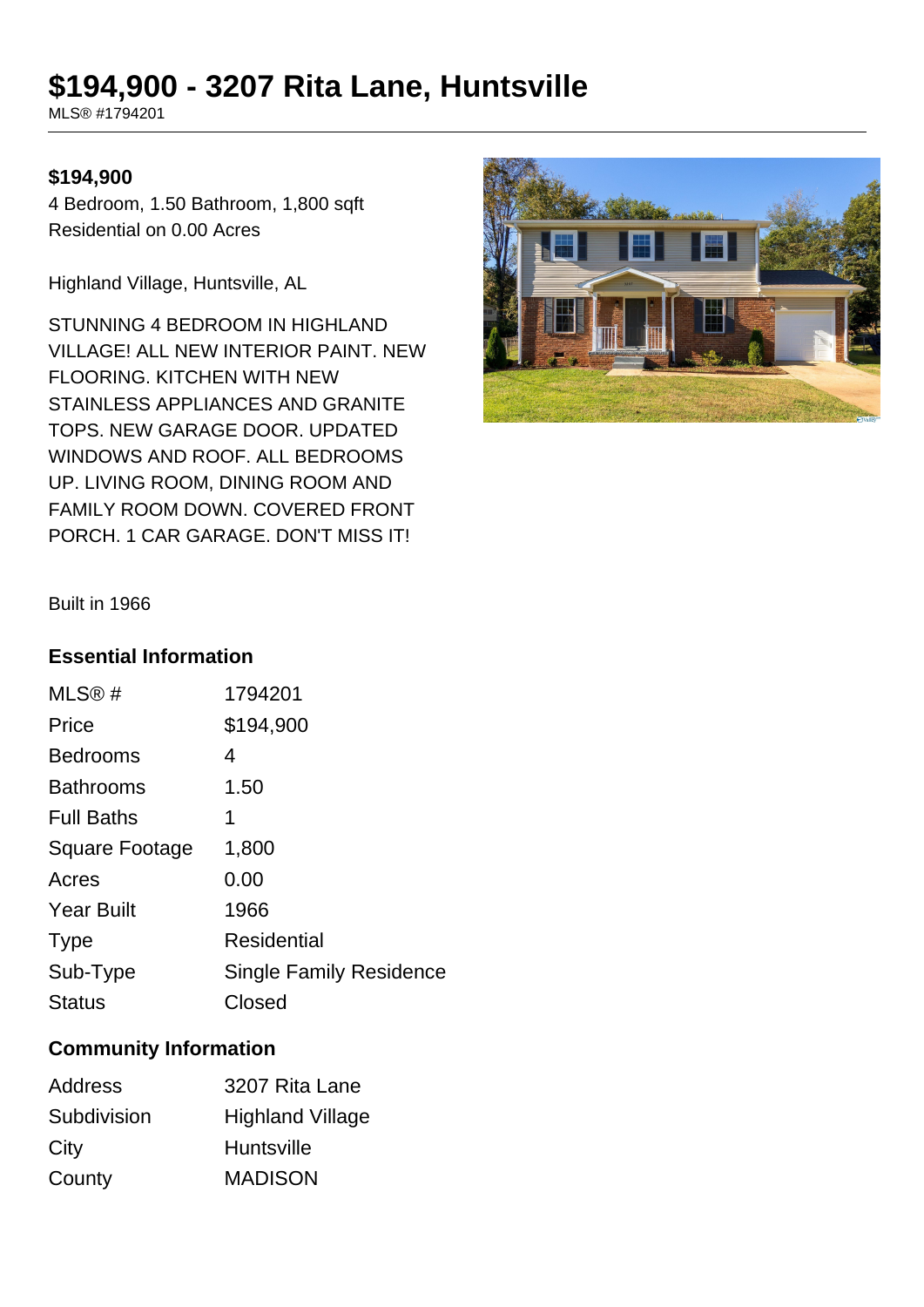# **\$194,900 - 3207 Rita Lane, Huntsville**

MLS® #1794201

#### **\$194,900**

4 Bedroom, 1.50 Bathroom, 1,800 sqft Residential on 0.00 Acres

Highland Village, Huntsville, AL

STUNNING 4 BEDROOM IN HIGHLAND VILLAGE! ALL NEW INTERIOR PAINT. NEW FLOORING. KITCHEN WITH NEW STAINLESS APPLIANCES AND GRANITE TOPS. NEW GARAGE DOOR. UPDATED WINDOWS AND ROOF. ALL BEDROOMS UP. LIVING ROOM, DINING ROOM AND FAMILY ROOM DOWN. COVERED FRONT PORCH. 1 CAR GARAGE. DON'T MISS IT!



Built in 1966

### **Essential Information**

| MLS®#                 | 1794201                        |
|-----------------------|--------------------------------|
| Price                 | \$194,900                      |
| <b>Bedrooms</b>       | 4                              |
| <b>Bathrooms</b>      | 1.50                           |
| <b>Full Baths</b>     | 1                              |
| <b>Square Footage</b> | 1,800                          |
| Acres                 | 0.00                           |
| <b>Year Built</b>     | 1966                           |
| <b>Type</b>           | <b>Residential</b>             |
| Sub-Type              | <b>Single Family Residence</b> |
| <b>Status</b>         | Closed                         |
|                       |                                |

## **Community Information**

| Address     | 3207 Rita Lane          |
|-------------|-------------------------|
| Subdivision | <b>Highland Village</b> |
| City        | <b>Huntsville</b>       |
| County      | <b>MADISON</b>          |